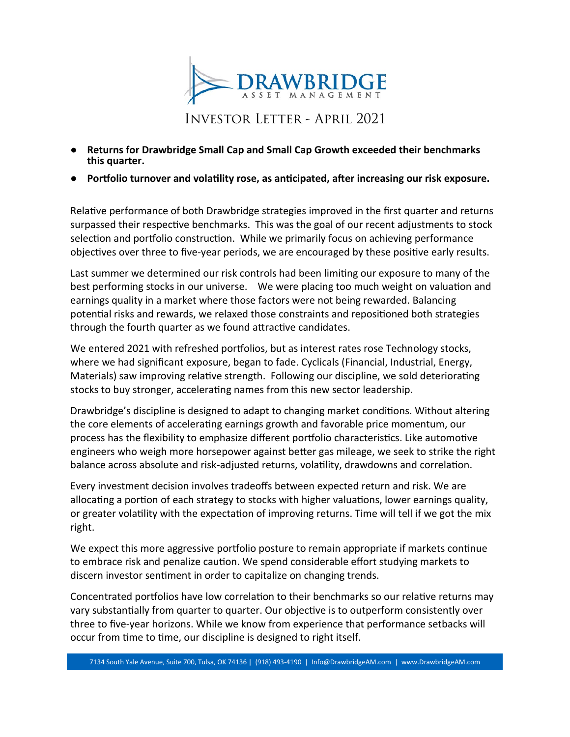

**INVESTOR LETTER - APRIL 2021** 

- **Returns for Drawbridge Small Cap and Small Cap Growth exceeded their benchmarks this quarter.**
- **Portfolio turnover and volatility rose, as anticipated, after increasing our risk exposure.**

Relative performance of both Drawbridge strategies improved in the first quarter and returns surpassed their respective benchmarks. This was the goal of our recent adjustments to stock selection and portfolio construction. While we primarily focus on achieving performance objectives over three to five-year periods, we are encouraged by these positive early results.

Last summer we determined our risk controls had been limiting our exposure to many of the best performing stocks in our universe. We were placing too much weight on valuation and earnings quality in a market where those factors were not being rewarded. Balancing potential risks and rewards, we relaxed those constraints and repositioned both strategies through the fourth quarter as we found attractive candidates.

We entered 2021 with refreshed portfolios, but as interest rates rose Technology stocks, where we had significant exposure, began to fade. Cyclicals (Financial, Industrial, Energy, Materials) saw improving relative strength. Following our discipline, we sold deteriorating stocks to buy stronger, accelerating names from this new sector leadership.

Drawbridge's discipline is designed to adapt to changing market conditions. Without altering the core elements of accelerating earnings growth and favorable price momentum, our process has the flexibility to emphasize different portfolio characteristics. Like automotive engineers who weigh more horsepower against better gas mileage, we seek to strike the right balance across absolute and risk-adjusted returns, volatility, drawdowns and correlation.

Every investment decision involves tradeoffs between expected return and risk. We are allocating a portion of each strategy to stocks with higher valuations, lower earnings quality, or greater volatility with the expectation of improving returns. Time will tell if we got the mix right.

We expect this more aggressive portfolio posture to remain appropriate if markets continue to embrace risk and penalize caution. We spend considerable effort studying markets to discern investor sentiment in order to capitalize on changing trends.

Concentrated portfolios have low correlation to their benchmarks so our relative returns may vary substantially from quarter to quarter. Our objective is to outperform consistently over three to five-year horizons. While we know from experience that performance setbacks will occur from time to time, our discipline is designed to right itself.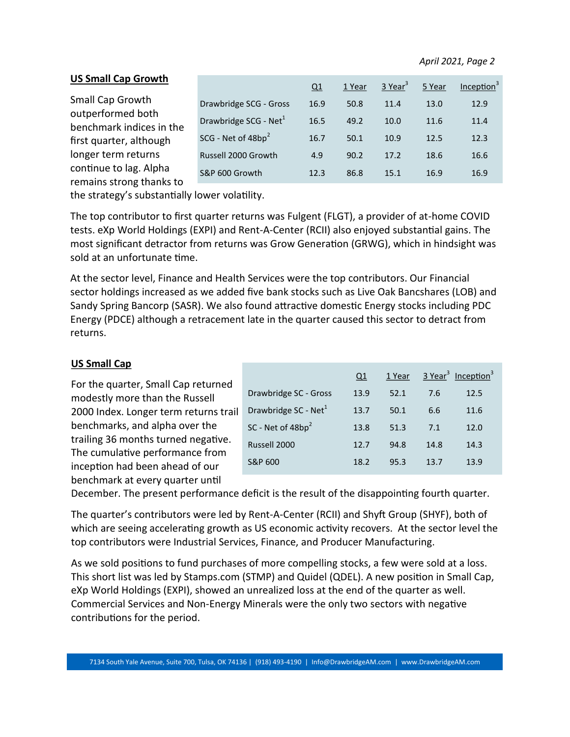## **US Small Cap Growth**

|                                                    |                                   | Q1   | 1 Year | $3$ Year <sup>3</sup> | 5 Year | Inception $3$ |
|----------------------------------------------------|-----------------------------------|------|--------|-----------------------|--------|---------------|
|                                                    |                                   |      |        |                       |        |               |
| Small Cap Growth                                   | Drawbridge SCG - Gross            | 16.9 | 50.8   | 11.4                  | 13.0   | 12.9          |
| outperformed both                                  | Drawbridge SCG - Net <sup>1</sup> | 16.5 | 49.2   | 10.0                  | 11.6   | 11.4          |
| benchmark indices in the                           |                                   |      |        |                       |        |               |
| first quarter, although                            | SCG - Net of $48bp^2$             | 16.7 | 50.1   | 10.9                  | 12.5   | 12.3          |
| longer term returns                                | Russell 2000 Growth               | 4.9  | 90.2   | 17.2                  | 18.6   | 16.6          |
| continue to lag. Alpha<br>remains strong thanks to | S&P 600 Growth                    | 12.3 | 86.8   | 15.1                  | 16.9   | 16.9          |
|                                                    |                                   |      |        |                       |        |               |

the strategy's substantially lower volatility.

The top contributor to first quarter returns was Fulgent (FLGT), a provider of at-home COVID tests. eXp World Holdings (EXPI) and Rent-A-Center (RCII) also enjoyed substantial gains. The most significant detractor from returns was Grow Generation (GRWG), which in hindsight was sold at an unfortunate time.

At the sector level, Finance and Health Services were the top contributors. Our Financial sector holdings increased as we added five bank stocks such as Live Oak Bancshares (LOB) and Sandy Spring Bancorp (SASR). We also found attractive domestic Energy stocks including PDC Energy (PDCE) although a retracement late in the quarter caused this sector to detract from returns.

## **US Small Cap**

For the quarter, Small Cap returned modestly more than the Russell 2000 Index. Longer term returns trail benchmarks, and alpha over the trailing 36 months turned negative. The cumulative performance from inception had been ahead of our benchmark at every quarter until

|                                  | Q1   | 1 Year |      | 3 Year <sup>3</sup> Inception <sup>3</sup> |
|----------------------------------|------|--------|------|--------------------------------------------|
| Drawbridge SC - Gross            | 13.9 | 52.1   | 7.6  | 12.5                                       |
| Drawbridge SC - Net <sup>1</sup> | 13.7 | 50.1   | 6.6  | 11.6                                       |
| SC - Net of $48bp^2$             | 13.8 | 51.3   | 7.1  | 12.0                                       |
| Russell 2000                     | 12.7 | 94.8   | 14.8 | 14.3                                       |
| S&P 600                          | 18.2 | 95.3   | 13.7 | 13.9                                       |

December. The present performance deficit is the result of the disappointing fourth quarter.

The quarter's contributors were led by Rent-A-Center (RCII) and Shyft Group (SHYF), both of which are seeing accelerating growth as US economic activity recovers. At the sector level the top contributors were Industrial Services, Finance, and Producer Manufacturing.

As we sold positions to fund purchases of more compelling stocks, a few were sold at a loss. This short list was led by Stamps.com (STMP) and Quidel (QDEL). A new position in Small Cap, eXp World Holdings (EXPI), showed an unrealized loss at the end of the quarter as well. Commercial Services and Non-Energy Minerals were the only two sectors with negative contributions for the period.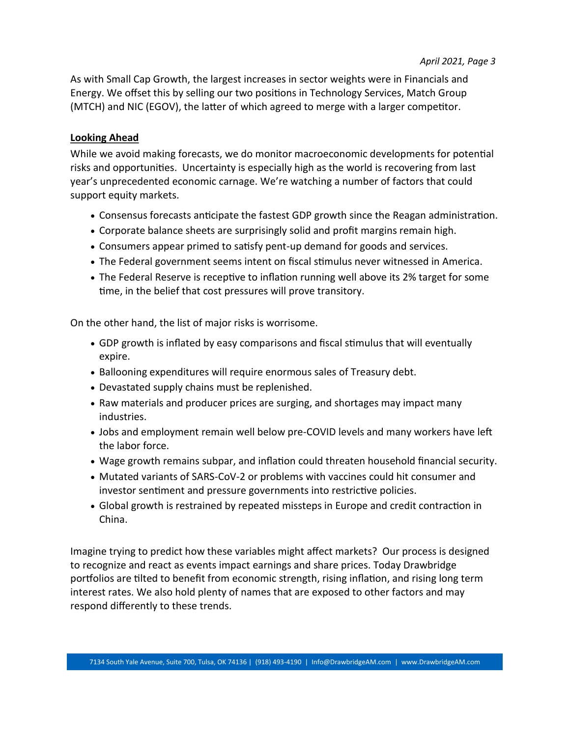As with Small Cap Growth, the largest increases in sector weights were in Financials and Energy. We offset this by selling our two positions in Technology Services, Match Group (MTCH) and NIC (EGOV), the latter of which agreed to merge with a larger competitor.

## **Looking Ahead**

While we avoid making forecasts, we do monitor macroeconomic developments for potential risks and opportunities. Uncertainty is especially high as the world is recovering from last year's unprecedented economic carnage. We're watching a number of factors that could support equity markets.

- Consensus forecasts anticipate the fastest GDP growth since the Reagan administration.
- Corporate balance sheets are surprisingly solid and profit margins remain high.
- Consumers appear primed to satisfy pent-up demand for goods and services.
- The Federal government seems intent on fiscal stimulus never witnessed in America.
- The Federal Reserve is receptive to inflation running well above its 2% target for some time, in the belief that cost pressures will prove transitory.

On the other hand, the list of major risks is worrisome.

- GDP growth is inflated by easy comparisons and fiscal stimulus that will eventually expire.
- Ballooning expenditures will require enormous sales of Treasury debt.
- Devastated supply chains must be replenished.
- Raw materials and producer prices are surging, and shortages may impact many industries.
- Jobs and employment remain well below pre-COVID levels and many workers have left the labor force.
- Wage growth remains subpar, and inflation could threaten household financial security.
- Mutated variants of SARS-CoV-2 or problems with vaccines could hit consumer and investor sentiment and pressure governments into restrictive policies.
- Global growth is restrained by repeated missteps in Europe and credit contraction in China.

Imagine trying to predict how these variables might affect markets? Our process is designed to recognize and react as events impact earnings and share prices. Today Drawbridge portfolios are tilted to benefit from economic strength, rising inflation, and rising long term interest rates. We also hold plenty of names that are exposed to other factors and may respond differently to these trends.